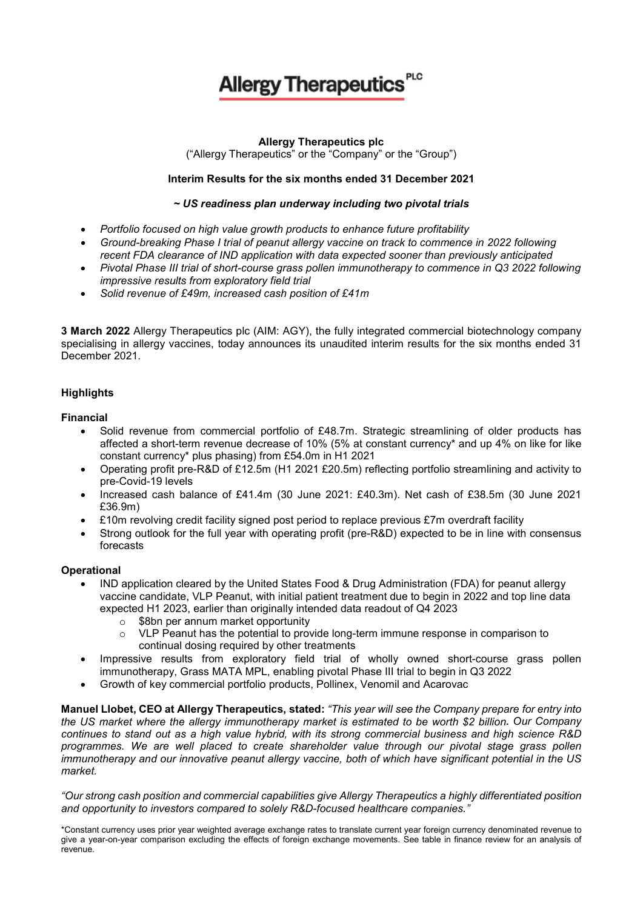# **Allergy Therapeutics**

# **Allergy Therapeutics plc**

("Allergy Therapeutics" or the "Company" or the "Group")

# **Interim Results for the six months ended 31 December 2021**

# *~ US readiness plan underway including two pivotal trials*

- *Portfolio focused on high value growth products to enhance future profitability*
- *Ground-breaking Phase I trial of peanut allergy vaccine on track to commence in 2022 following recent FDA clearance of IND application with data expected sooner than previously anticipated*
- *Pivotal Phase III trial of short-course grass pollen immunotherapy to commence in Q3 2022 following impressive results from exploratory field trial*
- *Solid revenue of £49m, increased cash position of £41m*

**3 March 2022** Allergy Therapeutics plc (AIM: AGY), the fully integrated commercial biotechnology company specialising in allergy vaccines, today announces its unaudited interim results for the six months ended 31 December 2021.

# **Highlights**

#### **Financial**

- Solid revenue from commercial portfolio of £48.7m. Strategic streamlining of older products has affected a short-term revenue decrease of 10% (5% at constant currency\* and up 4% on like for like constant currency\* plus phasing) from £54.0m in H1 2021
- Operating profit pre-R&D of £12.5m (H1 2021 £20.5m) reflecting portfolio streamlining and activity to pre-Covid-19 levels
- Increased cash balance of £41.4m (30 June 2021: £40.3m). Net cash of £38.5m (30 June 2021 £36.9m)
- £10m revolving credit facility signed post period to replace previous £7m overdraft facility
- Strong outlook for the full year with operating profit (pre-R&D) expected to be in line with consensus forecasts

#### **Operational**

- IND application cleared by the United States Food & Drug Administration (FDA) for peanut allergy vaccine candidate, VLP Peanut, with initial patient treatment due to begin in 2022 and top line data expected H1 2023, earlier than originally intended data readout of Q4 2023
	- $\circ$  \$8bn per annum market opportunity<br> $\circ$  VLP Peanut has the potential to prov
	- VLP Peanut has the potential to provide long-term immune response in comparison to continual dosing required by other treatments
- Impressive results from exploratory field trial of wholly owned short-course grass pollen immunotherapy, Grass MATA MPL, enabling pivotal Phase III trial to begin in Q3 2022
- Growth of key commercial portfolio products, Pollinex, Venomil and Acarovac

**Manuel Llobet, CEO at Allergy Therapeutics, stated:** *"This year will see the Company prepare for entry into the US market where the allergy immunotherapy market is estimated to be worth \$2 billion. Our Company continues to stand out as a high value hybrid, with its strong commercial business and high science R&D programmes. We are well placed to create shareholder value through our pivotal stage grass pollen immunotherapy and our innovative peanut allergy vaccine, both of which have significant potential in the US market.* 

*"Our strong cash position and commercial capabilities give Allergy Therapeutics a highly differentiated position and opportunity to investors compared to solely R&D-focused healthcare companies."*

<sup>\*</sup>Constant currency uses prior year weighted average exchange rates to translate current year foreign currency denominated revenue to give a year-on-year comparison excluding the effects of foreign exchange movements. See table in finance review for an analysis of revenue.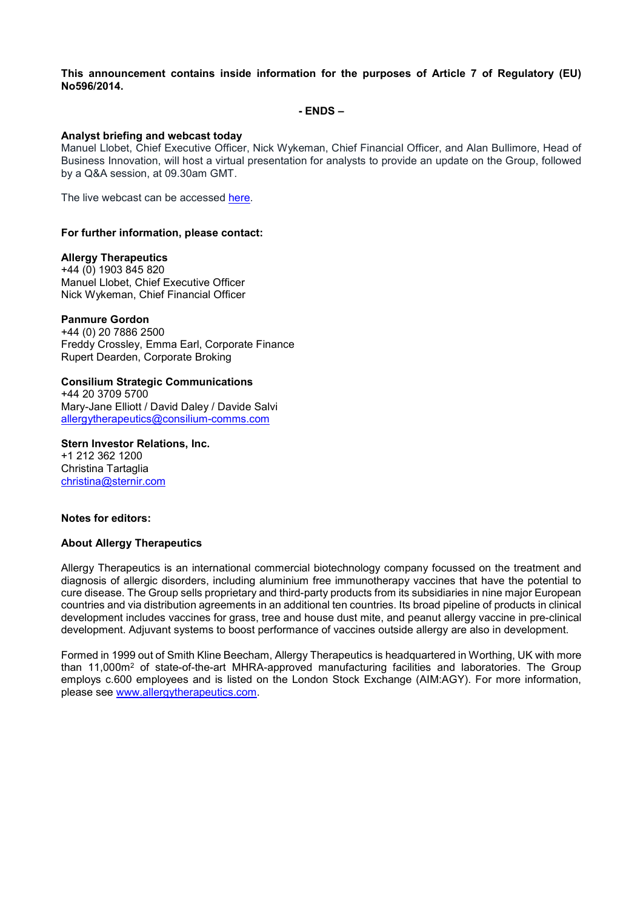**This announcement contains inside information for the purposes of Article 7 of Regulatory (EU) No596/2014.**

**- ENDS –**

#### **Analyst briefing and webcast today**

Manuel Llobet, Chief Executive Officer, Nick Wykeman, Chief Financial Officer, and Alan Bullimore, Head of Business Innovation, will host a virtual presentation for analysts to provide an update on the Group, followed by a Q&A session, at 09.30am GMT.

The live webcast can be accessed [here.](https://www.lsegissuerservices.com/spark/AllergyTherapeutics/events/fc03dd75-d3c3-41b2-89b2-3894dad74772)

#### **For further information, please contact:**

#### **Allergy Therapeutics**

+44 (0) 1903 845 820 Manuel Llobet, Chief Executive Officer Nick Wykeman, Chief Financial Officer

#### **Panmure Gordon**

+44 (0) 20 7886 2500 Freddy Crossley, Emma Earl, Corporate Finance Rupert Dearden, Corporate Broking

# **Consilium Strategic Communications**

+44 20 3709 5700 Mary-Jane Elliott / David Daley / Davide Salvi [allergytherapeutics@consilium-comms.com](mailto:allergytherapeutics@consilium-comms.com)

**Stern Investor Relations, Inc.** +1 212 362 1200 Christina Tartaglia [christina@sternir.com](mailto:christina@sternir.com)

#### **Notes for editors:**

#### **About Allergy Therapeutics**

Allergy Therapeutics is an international commercial biotechnology company focussed on the treatment and diagnosis of allergic disorders, including aluminium free immunotherapy vaccines that have the potential to cure disease. The Group sells proprietary and third-party products from its subsidiaries in nine major European countries and via distribution agreements in an additional ten countries. Its broad pipeline of products in clinical development includes vaccines for grass, tree and house dust mite, and peanut allergy vaccine in pre-clinical development. Adjuvant systems to boost performance of vaccines outside allergy are also in development.

Formed in 1999 out of Smith Kline Beecham, Allergy Therapeutics is headquartered in Worthing, UK with more than 11,000m2 of state-of-the-art MHRA-approved manufacturing facilities and laboratories. The Group employs c.600 employees and is listed on the London Stock Exchange (AIM:AGY). For more information, please see [www.allergytherapeutics.com.](http://www.allergytherapeutics.com/)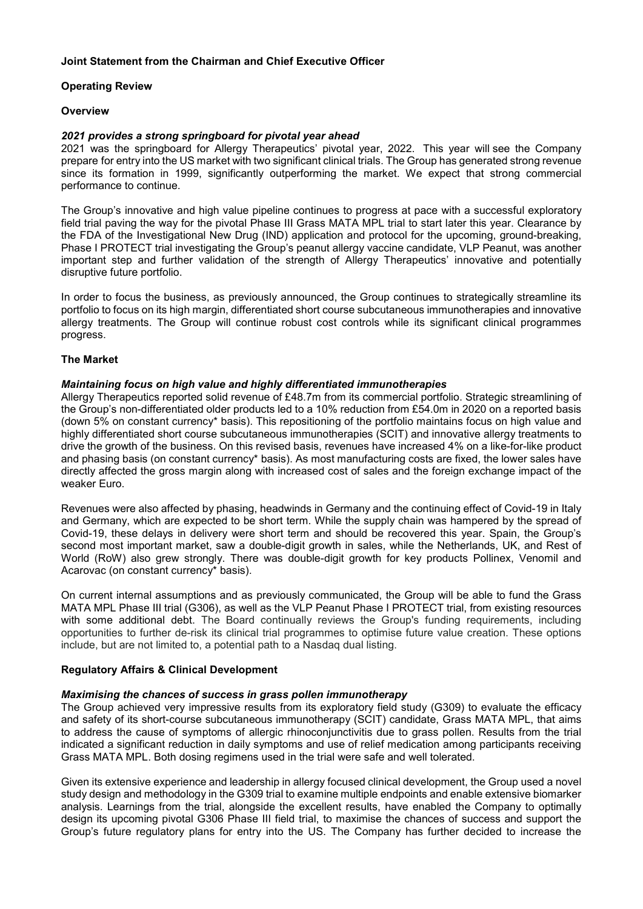# **Joint Statement from the Chairman and Chief Executive Officer**

# **Operating Review**

## **Overview**

## *2021 provides a strong springboard for pivotal year ahead*

2021 was the springboard for Allergy Therapeutics' pivotal year, 2022. This year will see the Company prepare for entry into the US market with two significant clinical trials. The Group has generated strong revenue since its formation in 1999, significantly outperforming the market. We expect that strong commercial performance to continue.

The Group's innovative and high value pipeline continues to progress at pace with a successful exploratory field trial paving the way for the pivotal Phase III Grass MATA MPL trial to start later this year. Clearance by the FDA of the Investigational New Drug (IND) application and protocol for the upcoming, ground-breaking, Phase I PROTECT trial investigating the Group's peanut allergy vaccine candidate, VLP Peanut, was another important step and further validation of the strength of Allergy Therapeutics' innovative and potentially disruptive future portfolio.

In order to focus the business, as previously announced, the Group continues to strategically streamline its portfolio to focus on its high margin, differentiated short course subcutaneous immunotherapies and innovative allergy treatments. The Group will continue robust cost controls while its significant clinical programmes progress.

#### **The Market**

# *Maintaining focus on high value and highly differentiated immunotherapies*

Allergy Therapeutics reported solid revenue of £48.7m from its commercial portfolio. Strategic streamlining of the Group's non-differentiated older products led to a 10% reduction from £54.0m in 2020 on a reported basis (down 5% on constant currency\* basis). This repositioning of the portfolio maintains focus on high value and highly differentiated short course subcutaneous immunotherapies (SCIT) and innovative allergy treatments to drive the growth of the business. On this revised basis, revenues have increased 4% on a like-for-like product and phasing basis (on constant currency\* basis). As most manufacturing costs are fixed, the lower sales have directly affected the gross margin along with increased cost of sales and the foreign exchange impact of the weaker Euro.

Revenues were also affected by phasing, headwinds in Germany and the continuing effect of Covid-19 in Italy and Germany, which are expected to be short term. While the supply chain was hampered by the spread of Covid-19, these delays in delivery were short term and should be recovered this year. Spain, the Group's second most important market, saw a double-digit growth in sales, while the Netherlands, UK, and Rest of World (RoW) also grew strongly. There was double-digit growth for key products Pollinex, Venomil and Acarovac (on constant currency\* basis).

On current internal assumptions and as previously communicated, the Group will be able to fund the Grass MATA MPL Phase III trial (G306), as well as the VLP Peanut Phase I PROTECT trial, from existing resources with some additional debt. The Board continually reviews the Group's funding requirements, including opportunities to further de-risk its clinical trial programmes to optimise future value creation. These options include, but are not limited to, a potential path to a Nasdaq dual listing.

#### **Regulatory Affairs & Clinical Development**

#### *Maximising the chances of success in grass pollen immunotherapy*

The Group achieved very impressive results from its exploratory field study (G309) to evaluate the efficacy and safety of its short-course subcutaneous immunotherapy (SCIT) candidate, Grass MATA MPL, that aims to address the cause of symptoms of allergic rhinoconjunctivitis due to grass pollen. Results from the trial indicated a significant reduction in daily symptoms and use of relief medication among participants receiving Grass MATA MPL. Both dosing regimens used in the trial were safe and well tolerated.

Given its extensive experience and leadership in allergy focused clinical development, the Group used a novel study design and methodology in the G309 trial to examine multiple endpoints and enable extensive biomarker analysis. Learnings from the trial, alongside the excellent results, have enabled the Company to optimally design its upcoming pivotal G306 Phase III field trial, to maximise the chances of success and support the Group's future regulatory plans for entry into the US. The Company has further decided to increase the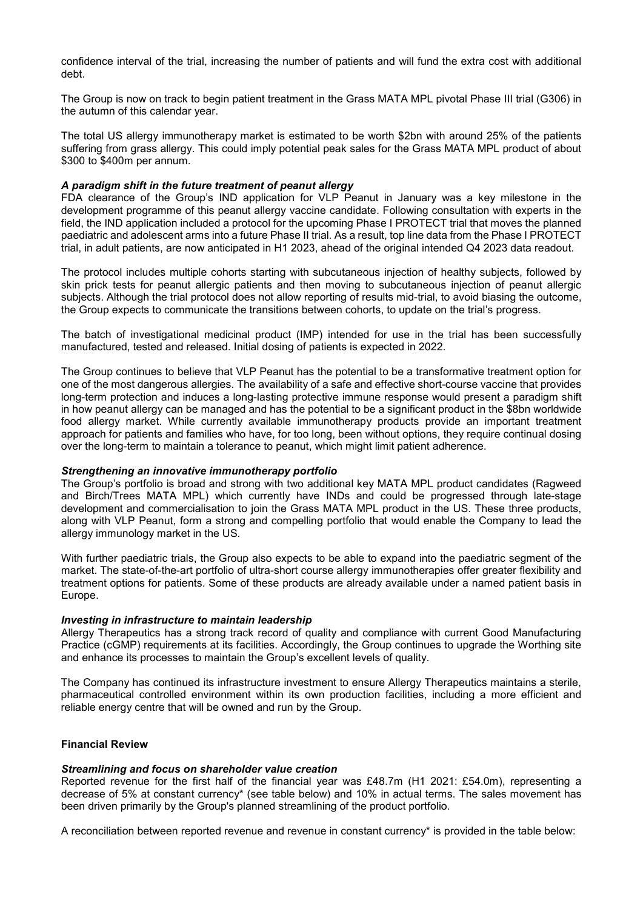confidence interval of the trial, increasing the number of patients and will fund the extra cost with additional debt.

The Group is now on track to begin patient treatment in the Grass MATA MPL pivotal Phase III trial (G306) in the autumn of this calendar year.

The total US allergy immunotherapy market is estimated to be worth \$2bn with around 25% of the patients suffering from grass allergy. This could imply potential peak sales for the Grass MATA MPL product of about \$300 to \$400m per annum.

# *A paradigm shift in the future treatment of peanut allergy*

FDA clearance of the Group's IND application for VLP Peanut in January was a key milestone in the development programme of this peanut allergy vaccine candidate. Following consultation with experts in the field, the IND application included a protocol for the upcoming Phase I PROTECT trial that moves the planned paediatric and adolescent arms into a future Phase II trial. As a result, top line data from the Phase I PROTECT trial, in adult patients, are now anticipated in H1 2023, ahead of the original intended Q4 2023 data readout.

The protocol includes multiple cohorts starting with subcutaneous injection of healthy subjects, followed by skin prick tests for peanut allergic patients and then moving to subcutaneous injection of peanut allergic subjects. Although the trial protocol does not allow reporting of results mid-trial, to avoid biasing the outcome, the Group expects to communicate the transitions between cohorts, to update on the trial's progress.

The batch of investigational medicinal product (IMP) intended for use in the trial has been successfully manufactured, tested and released. Initial dosing of patients is expected in 2022.

The Group continues to believe that VLP Peanut has the potential to be a transformative treatment option for one of the most dangerous allergies. The availability of a safe and effective short-course vaccine that provides long-term protection and induces a long-lasting protective immune response would present a paradigm shift in how peanut allergy can be managed and has the potential to be a significant product in the \$8bn worldwide food allergy market. While currently available immunotherapy products provide an important treatment approach for patients and families who have, for too long, been without options, they require continual dosing over the long-term to maintain a tolerance to peanut, which might limit patient adherence.

#### *Strengthening an innovative immunotherapy portfolio*

The Group's portfolio is broad and strong with two additional key MATA MPL product candidates (Ragweed and Birch/Trees MATA MPL) which currently have INDs and could be progressed through late-stage development and commercialisation to join the Grass MATA MPL product in the US. These three products, along with VLP Peanut, form a strong and compelling portfolio that would enable the Company to lead the allergy immunology market in the US*.*

With further paediatric trials, the Group also expects to be able to expand into the paediatric segment of the market. The state-of-the-art portfolio of ultra-short course allergy immunotherapies offer greater flexibility and treatment options for patients. Some of these products are already available under a named patient basis in Europe.

#### *Investing in infrastructure to maintain leadership*

Allergy Therapeutics has a strong track record of quality and compliance with current Good Manufacturing Practice (cGMP) requirements at its facilities. Accordingly, the Group continues to upgrade the Worthing site and enhance its processes to maintain the Group's excellent levels of quality.

The Company has continued its infrastructure investment to ensure Allergy Therapeutics maintains a sterile, pharmaceutical controlled environment within its own production facilities, including a more efficient and reliable energy centre that will be owned and run by the Group.

## **Financial Review**

#### *Streamlining and focus on shareholder value creation*

Reported revenue for the first half of the financial year was £48.7m (H1 2021: £54.0m), representing a decrease of 5% at constant currency\* (see table below) and 10% in actual terms. The sales movement has been driven primarily by the Group's planned streamlining of the product portfolio.

A reconciliation between reported revenue and revenue in constant currency\* is provided in the table below: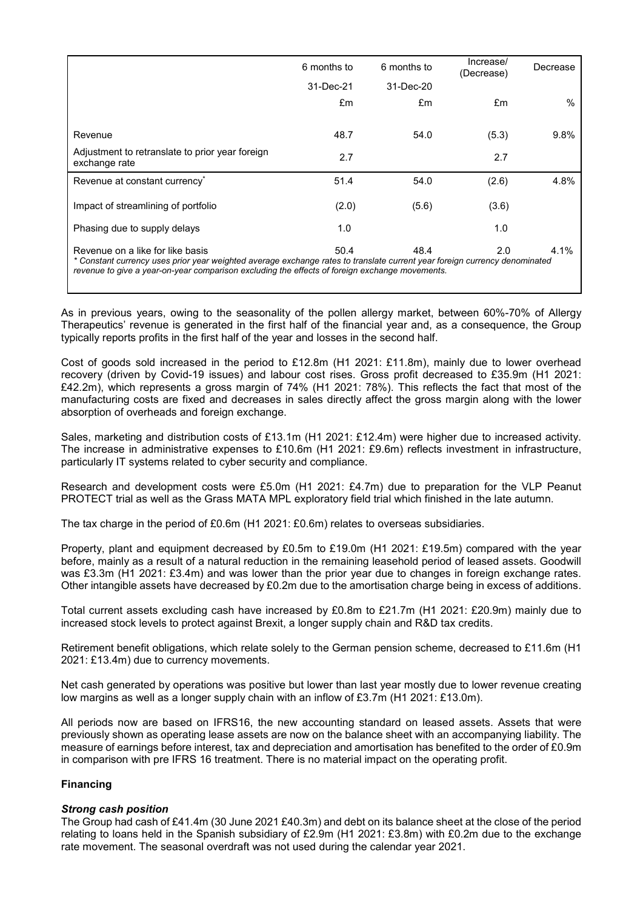|                                                                                                                                                                                                                                                                  | 6 months to | 6 months to | Increase/<br>(Decrease) | Decrease |
|------------------------------------------------------------------------------------------------------------------------------------------------------------------------------------------------------------------------------------------------------------------|-------------|-------------|-------------------------|----------|
|                                                                                                                                                                                                                                                                  | 31-Dec-21   | 31-Dec-20   |                         |          |
|                                                                                                                                                                                                                                                                  | £m          | £m          | £m                      | $\%$     |
| Revenue                                                                                                                                                                                                                                                          | 48.7        | 54.0        | (5.3)                   | 9.8%     |
| Adjustment to retranslate to prior year foreign<br>exchange rate                                                                                                                                                                                                 | 2.7         |             | 2.7                     |          |
| Revenue at constant currency*                                                                                                                                                                                                                                    | 51.4        | 54.0        | (2.6)                   | 4.8%     |
| Impact of streamlining of portfolio                                                                                                                                                                                                                              | (2.0)       | (5.6)       | (3.6)                   |          |
| Phasing due to supply delays                                                                                                                                                                                                                                     | 1.0         |             | 1.0                     |          |
| Revenue on a like for like basis<br>* Constant currency uses prior year weighted average exchange rates to translate current year foreign currency denominated<br>revenue to give a year-on-year comparison excluding the effects of foreign exchange movements. | 50.4        | 48.4        | 2.0                     | 4.1%     |

As in previous years, owing to the seasonality of the pollen allergy market, between 60%-70% of Allergy Therapeutics' revenue is generated in the first half of the financial year and, as a consequence, the Group typically reports profits in the first half of the year and losses in the second half.

Cost of goods sold increased in the period to £12.8m (H1 2021: £11.8m), mainly due to lower overhead recovery (driven by Covid-19 issues) and labour cost rises. Gross profit decreased to £35.9m (H1 2021: £42.2m), which represents a gross margin of 74% (H1 2021: 78%). This reflects the fact that most of the manufacturing costs are fixed and decreases in sales directly affect the gross margin along with the lower absorption of overheads and foreign exchange.

Sales, marketing and distribution costs of £13.1m (H1 2021: £12.4m) were higher due to increased activity. The increase in administrative expenses to £10.6m (H1 2021: £9.6m) reflects investment in infrastructure, particularly IT systems related to cyber security and compliance.

Research and development costs were £5.0m (H1 2021: £4.7m) due to preparation for the VLP Peanut PROTECT trial as well as the Grass MATA MPL exploratory field trial which finished in the late autumn.

The tax charge in the period of £0.6m (H1 2021: £0.6m) relates to overseas subsidiaries.

Property, plant and equipment decreased by £0.5m to £19.0m (H1 2021: £19.5m) compared with the year before, mainly as a result of a natural reduction in the remaining leasehold period of leased assets. Goodwill was £3.3m (H1 2021: £3.4m) and was lower than the prior year due to changes in foreign exchange rates. Other intangible assets have decreased by £0.2m due to the amortisation charge being in excess of additions.

Total current assets excluding cash have increased by £0.8m to £21.7m (H1 2021: £20.9m) mainly due to increased stock levels to protect against Brexit, a longer supply chain and R&D tax credits.

Retirement benefit obligations, which relate solely to the German pension scheme, decreased to £11.6m (H1 2021: £13.4m) due to currency movements.

Net cash generated by operations was positive but lower than last year mostly due to lower revenue creating low margins as well as a longer supply chain with an inflow of £3.7m (H1 2021: £13.0m).

All periods now are based on IFRS16, the new accounting standard on leased assets. Assets that were previously shown as operating lease assets are now on the balance sheet with an accompanying liability. The measure of earnings before interest, tax and depreciation and amortisation has benefited to the order of £0.9m in comparison with pre IFRS 16 treatment. There is no material impact on the operating profit.

# **Financing**

# *Strong cash position*

The Group had cash of £41.4m (30 June 2021 £40.3m) and debt on its balance sheet at the close of the period relating to loans held in the Spanish subsidiary of £2.9m (H1 2021: £3.8m) with £0.2m due to the exchange rate movement. The seasonal overdraft was not used during the calendar year 2021.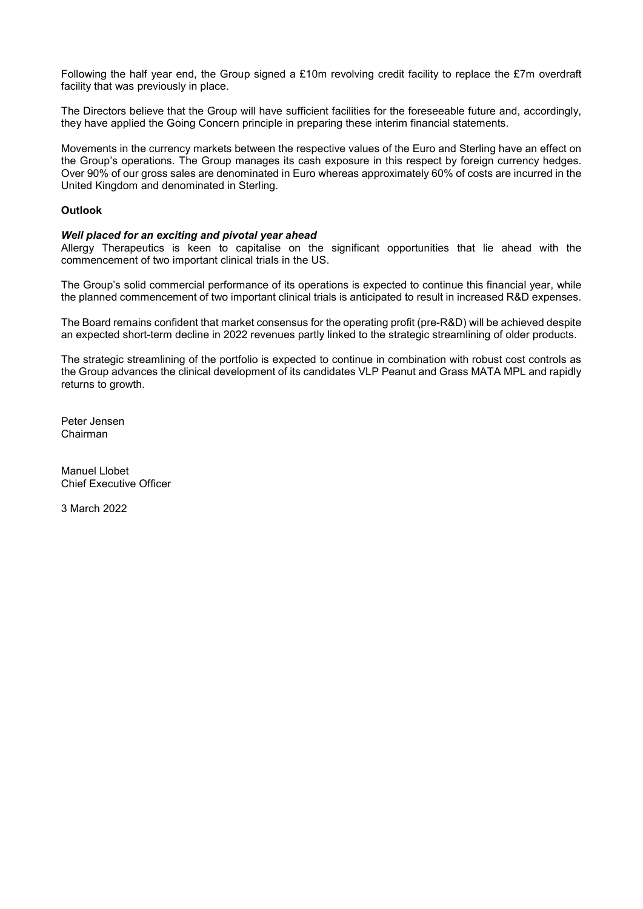Following the half year end, the Group signed a £10m revolving credit facility to replace the £7m overdraft facility that was previously in place.

The Directors believe that the Group will have sufficient facilities for the foreseeable future and, accordingly, they have applied the Going Concern principle in preparing these interim financial statements.

Movements in the currency markets between the respective values of the Euro and Sterling have an effect on the Group's operations. The Group manages its cash exposure in this respect by foreign currency hedges. Over 90% of our gross sales are denominated in Euro whereas approximately 60% of costs are incurred in the United Kingdom and denominated in Sterling.

# **Outlook**

# *Well placed for an exciting and pivotal year ahead*

Allergy Therapeutics is keen to capitalise on the significant opportunities that lie ahead with the commencement of two important clinical trials in the US.

The Group's solid commercial performance of its operations is expected to continue this financial year, while the planned commencement of two important clinical trials is anticipated to result in increased R&D expenses.

The Board remains confident that market consensus for the operating profit (pre-R&D) will be achieved despite an expected short-term decline in 2022 revenues partly linked to the strategic streamlining of older products.

The strategic streamlining of the portfolio is expected to continue in combination with robust cost controls as the Group advances the clinical development of its candidates VLP Peanut and Grass MATA MPL and rapidly returns to growth.

Peter Jensen Chairman

Manuel Llobet Chief Executive Officer

3 March 2022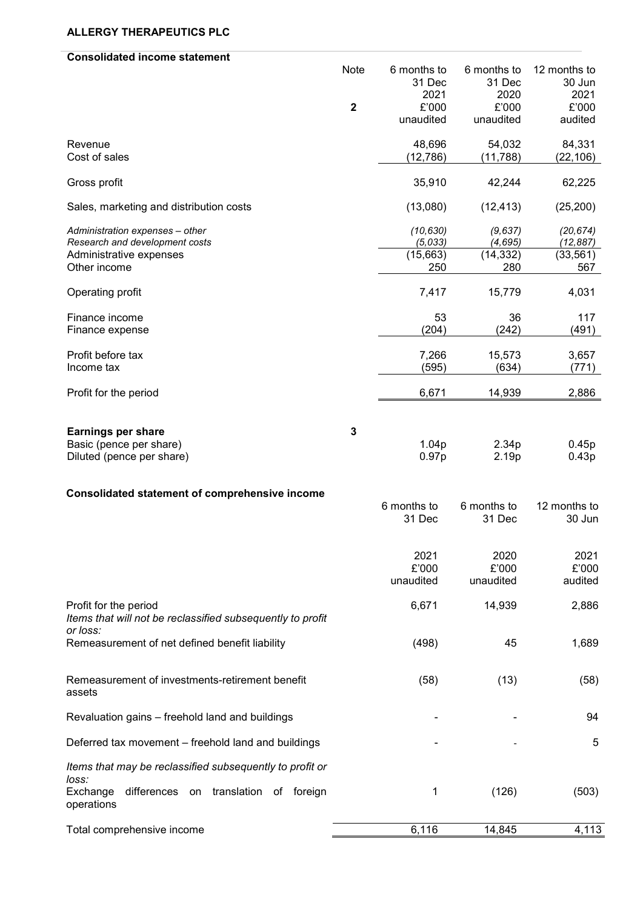# **ALLERGY THERAPEUTICS PLC**

| <b>Consolidated income statement</b>                                   |              |             |             |              |
|------------------------------------------------------------------------|--------------|-------------|-------------|--------------|
|                                                                        | Note         | 6 months to | 6 months to | 12 months to |
|                                                                        |              | 31 Dec      | 31 Dec      | 30 Jun       |
|                                                                        |              | 2021        | 2020        | 2021         |
|                                                                        | $\mathbf{2}$ | £'000       | £'000       | £'000        |
|                                                                        |              | unaudited   | unaudited   | audited      |
| Revenue                                                                |              | 48,696      | 54,032      | 84,331       |
| Cost of sales                                                          |              | (12,786)    | (11, 788)   | (22, 106)    |
|                                                                        |              |             |             |              |
| Gross profit                                                           |              | 35,910      | 42,244      | 62,225       |
| Sales, marketing and distribution costs                                |              | (13,080)    | (12, 413)   | (25, 200)    |
| Administration expenses - other                                        |              | (10, 630)   | (9, 637)    | (20, 674)    |
| Research and development costs                                         |              | (5,033)     | (4, 695)    | (12, 887)    |
| Administrative expenses                                                |              | (15,663)    | (14, 332)   | (33, 561)    |
| Other income                                                           |              | 250         | 280         | 567          |
| Operating profit                                                       |              | 7,417       | 15,779      | 4,031        |
| Finance income                                                         |              | 53          | 36          | 117          |
| Finance expense                                                        |              | (204)       | (242)       | (491)        |
|                                                                        |              |             |             |              |
| Profit before tax                                                      |              | 7,266       | 15,573      | 3,657        |
| Income tax                                                             |              | (595)       | (634)       | (771)        |
| Profit for the period                                                  |              | 6,671       | 14,939      | 2,886        |
|                                                                        |              |             |             |              |
|                                                                        |              |             |             |              |
| <b>Earnings per share</b>                                              | 3            |             |             |              |
| Basic (pence per share)                                                |              | 1.04p       | 2.34p       | 0.45p        |
| Diluted (pence per share)                                              |              | 0.97p       | 2.19p       | 0.43p        |
|                                                                        |              |             |             |              |
| <b>Consolidated statement of comprehensive income</b>                  |              |             |             |              |
|                                                                        |              | 6 months to | 6 months to | 12 months to |
|                                                                        |              | 31 Dec      | 31 Dec      | 30 Jun       |
|                                                                        |              |             |             |              |
|                                                                        |              | 2021        | 2020        | 2021         |
|                                                                        |              | £'000       | £'000       | £'000        |
|                                                                        |              | unaudited   | unaudited   | audited      |
|                                                                        |              |             |             |              |
| Profit for the period                                                  |              | 6,671       | 14,939      | 2,886        |
| Items that will not be reclassified subsequently to profit<br>or loss: |              |             |             |              |
| Remeasurement of net defined benefit liability                         |              | (498)       | 45          | 1,689        |
|                                                                        |              |             |             |              |
|                                                                        |              |             |             |              |
| Remeasurement of investments-retirement benefit                        |              | (58)        | (13)        | (58)         |
| assets                                                                 |              |             |             |              |
| Revaluation gains - freehold land and buildings                        |              |             |             | 94           |
|                                                                        |              |             |             |              |
| Deferred tax movement – freehold land and buildings                    |              |             |             | 5            |
| Items that may be reclassified subsequently to profit or               |              |             |             |              |
| loss:                                                                  |              |             |             |              |
| Exchange<br>differences on translation of foreign                      |              | 1           | (126)       | (503)        |
| operations                                                             |              |             |             |              |
| Total comprehensive income                                             |              | 6,116       | 14,845      | 4,113        |
|                                                                        |              |             |             |              |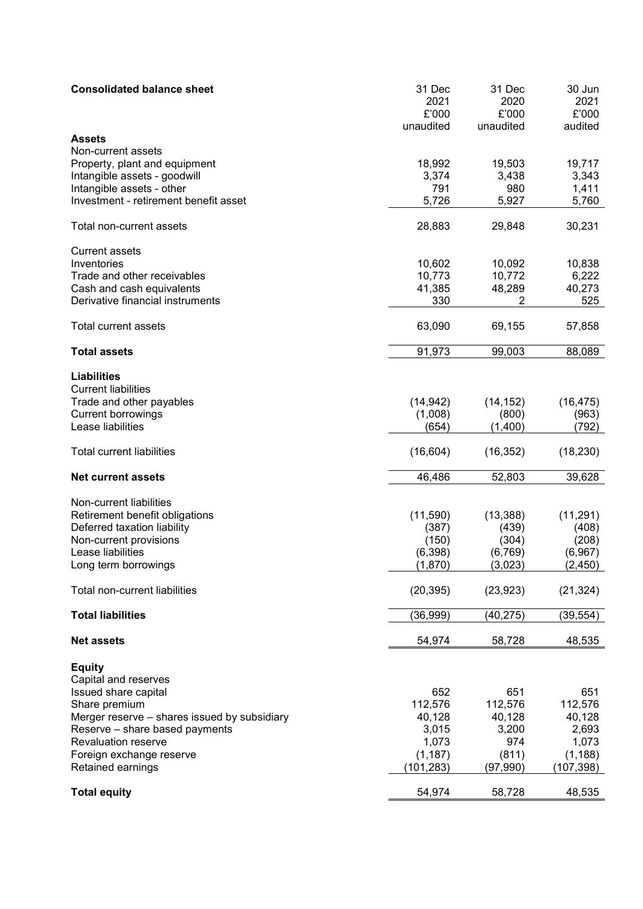| <b>Consolidated balance sheet</b>            | 31 Dec<br>2021<br>£'000<br>unaudited | 31 Dec<br>2020<br>£'000<br>unaudited | 30 Jun<br>2021<br>£'000<br>audited |
|----------------------------------------------|--------------------------------------|--------------------------------------|------------------------------------|
| <b>Assets</b>                                |                                      |                                      |                                    |
| Non-current assets                           |                                      |                                      |                                    |
| Property, plant and equipment                | 18,992                               | 19,503                               | 19,717                             |
| Intangible assets - goodwill                 | 3,374                                | 3,438                                | 3,343                              |
| Intangible assets - other                    | 791                                  | 980                                  | 1,411                              |
| Investment - retirement benefit asset        | 5,726                                | 5,927                                | 5,760                              |
| Total non-current assets                     | 28,883                               | 29,848                               | 30,231                             |
| <b>Current assets</b>                        |                                      |                                      |                                    |
| Inventories                                  | 10,602                               | 10,092                               | 10,838                             |
| Trade and other receivables                  | 10,773                               | 10,772                               | 6,222                              |
| Cash and cash equivalents                    | 41,385                               | 48,289                               | 40,273                             |
| Derivative financial instruments             | 330                                  | 2                                    | 525                                |
| Total current assets                         | 63,090                               | 69,155                               | 57,858                             |
| <b>Total assets</b>                          | 91,973                               | 99,003                               | 88,089                             |
| <b>Liabilities</b>                           |                                      |                                      |                                    |
| <b>Current liabilities</b>                   |                                      |                                      |                                    |
| Trade and other payables                     | (14, 942)                            | (14, 152)                            | (16, 475)                          |
| <b>Current borrowings</b>                    | (1,008)                              | (800)                                | (963)                              |
| Lease liabilities                            | (654)                                | (1,400)                              | (792)                              |
| <b>Total current liabilities</b>             | (16, 604)                            | (16, 352)                            | (18, 230)                          |
| <b>Net current assets</b>                    | 46,486                               | 52,803                               | 39,628                             |
| Non-current liabilities                      |                                      |                                      |                                    |
| Retirement benefit obligations               | (11,590)                             | (13, 388)                            | (11, 291)                          |
| Deferred taxation liability                  | (387)                                | (439)                                | (408)                              |
| Non-current provisions                       | (150)                                | (304)                                | (208)                              |
| Lease liabilities                            | (6, 398)                             | (6, 769)                             | (6,967)                            |
| Long term borrowings                         | (1,870)                              | (3,023)                              | (2, 450)                           |
|                                              |                                      |                                      |                                    |
| Total non-current liabilities                | (20, 395)                            | (23, 923)                            | (21, 324)                          |
| <b>Total liabilities</b>                     | (36, 999)                            | (40, 275)                            | (39, 554)                          |
| <b>Net assets</b>                            | 54,974                               | 58,728                               | 48,535                             |
| <b>Equity</b>                                |                                      |                                      |                                    |
| Capital and reserves                         |                                      |                                      |                                    |
| Issued share capital                         | 652                                  | 651                                  | 651                                |
| Share premium                                | 112,576                              | 112,576                              | 112,576                            |
| Merger reserve - shares issued by subsidiary | 40,128                               | 40,128                               | 40,128                             |
| Reserve - share based payments               | 3,015                                | 3,200                                | 2,693                              |
| <b>Revaluation reserve</b>                   | 1,073                                | 974                                  | 1,073                              |
| Foreign exchange reserve                     | (1, 187)                             | (811)                                | (1, 188)                           |
| Retained earnings                            | (101, 283)                           | (97,990)                             | (107,398)                          |
| <b>Total equity</b>                          | 54,974                               | 58,728                               | 48,535                             |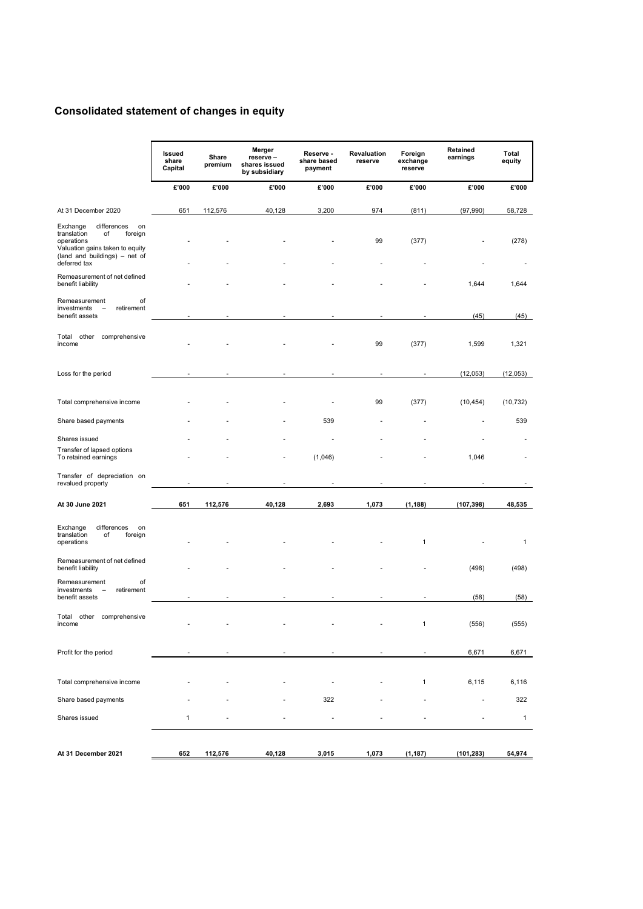# **Consolidated statement of changes in equity**

|                                                                                                                                                                 | Issued<br>share<br>Capital | Share<br>premium | Merger<br>reserve -<br>shares issued<br>by subsidiary | Reserve -<br>share based<br>payment | Revaluation<br>reserve | Foreign<br>exchange<br>reserve | Retained<br>earnings     | <b>Total</b><br>equity |
|-----------------------------------------------------------------------------------------------------------------------------------------------------------------|----------------------------|------------------|-------------------------------------------------------|-------------------------------------|------------------------|--------------------------------|--------------------------|------------------------|
|                                                                                                                                                                 | £'000                      | £'000            | £'000                                                 | £'000                               | £'000                  | £'000                          | £'000                    | £'000                  |
| At 31 December 2020                                                                                                                                             | 651                        | 112,576          | 40,128                                                | 3,200                               | 974                    | (811)                          | (97, 990)                | 58,728                 |
| differences<br>Exchange<br>on<br>translation<br>οf<br>foreign<br>operations<br>Valuation gains taken to equity<br>(land and buildings) - net of<br>deferred tax |                            |                  |                                                       |                                     | 99                     | (377)                          |                          | (278)                  |
| Remeasurement of net defined<br>benefit liability                                                                                                               |                            |                  |                                                       |                                     |                        |                                | 1,644                    | 1,644                  |
| οf<br>Remeasurement<br>investments<br>retirement<br>$\overline{\phantom{0}}$<br>benefit assets                                                                  |                            |                  |                                                       |                                     |                        |                                | (45)                     | (45)                   |
| comprehensive<br>Total<br>other<br>income                                                                                                                       |                            |                  |                                                       |                                     | 99                     | (377)                          | 1,599                    | 1,321                  |
| Loss for the period                                                                                                                                             |                            |                  |                                                       |                                     |                        |                                | (12, 053)                | (12,053)               |
| Total comprehensive income                                                                                                                                      |                            |                  |                                                       |                                     | 99                     | (377)                          | (10, 454)                | (10, 732)              |
| Share based payments                                                                                                                                            |                            |                  |                                                       | 539                                 |                        |                                |                          | 539                    |
| Shares issued                                                                                                                                                   |                            |                  |                                                       |                                     |                        |                                |                          |                        |
| Transfer of lapsed options<br>To retained earnings                                                                                                              |                            |                  |                                                       | (1,046)                             |                        |                                | 1,046                    |                        |
| Transfer of depreciation on<br>revalued property                                                                                                                |                            |                  |                                                       |                                     |                        |                                |                          |                        |
| At 30 June 2021                                                                                                                                                 | 651                        | 112,576          | 40,128                                                | 2,693                               | 1,073                  | (1, 188)                       | (107, 398)               | 48,535                 |
| differences<br>Exchange<br>on<br>translation<br>of<br>foreign<br>operations                                                                                     |                            |                  |                                                       |                                     |                        | 1                              |                          | 1                      |
| Remeasurement of net defined<br>benefit liability                                                                                                               |                            |                  |                                                       |                                     |                        |                                | (498)                    | (498)                  |
| Remeasurement<br>οf<br>investments<br>retirement<br>benefit assets                                                                                              |                            |                  |                                                       |                                     |                        |                                | (58)                     | (58)                   |
| comprehensive<br>Total<br>other<br>income                                                                                                                       |                            |                  |                                                       |                                     |                        |                                | (556)                    | (555)                  |
| Profit for the period                                                                                                                                           |                            |                  |                                                       |                                     |                        |                                | 6,671                    | 6,671                  |
| Total comprehensive income                                                                                                                                      |                            |                  |                                                       |                                     |                        | $\mathbf{1}$                   | 6,115                    | 6,116                  |
| Share based payments                                                                                                                                            |                            |                  |                                                       | 322                                 |                        |                                | $\overline{\phantom{a}}$ | 322                    |
| Shares issued                                                                                                                                                   | $\mathbf{1}$               |                  |                                                       |                                     |                        |                                |                          | $\mathbf{1}$           |
| At 31 December 2021                                                                                                                                             | 652                        | 112,576          | 40,128                                                | 3,015                               | 1,073                  | (1, 187)                       | (101, 283)               | 54,974                 |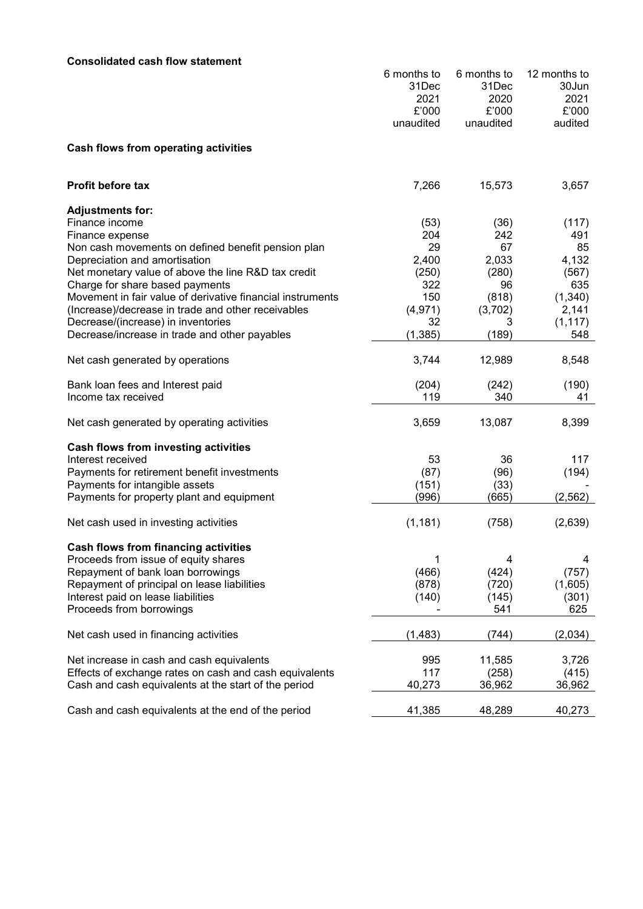# **Consolidated cash flow statement**

|                                                                                                                                                                                                                                            | 6 months to<br>31Dec<br>2021<br>£'000<br>unaudited | 6 months to<br>31Dec<br>2020<br>£'000<br>unaudited | 12 months to<br>30Jun<br>2021<br>£'000<br>audited |
|--------------------------------------------------------------------------------------------------------------------------------------------------------------------------------------------------------------------------------------------|----------------------------------------------------|----------------------------------------------------|---------------------------------------------------|
| Cash flows from operating activities                                                                                                                                                                                                       |                                                    |                                                    |                                                   |
| <b>Profit before tax</b>                                                                                                                                                                                                                   | 7,266                                              | 15,573                                             | 3,657                                             |
| <b>Adjustments for:</b><br>Finance income<br>Finance expense<br>Non cash movements on defined benefit pension plan<br>Depreciation and amortisation<br>Net monetary value of above the line R&D tax credit                                 | (53)<br>204<br>29<br>2,400<br>(250)                | (36)<br>242<br>67<br>2,033<br>(280)                | (117)<br>491<br>85<br>4,132<br>(567)              |
| Charge for share based payments<br>Movement in fair value of derivative financial instruments<br>(Increase)/decrease in trade and other receivables<br>Decrease/(increase) in inventories<br>Decrease/increase in trade and other payables | 322<br>150<br>(4, 971)<br>32<br>(1, 385)           | 96<br>(818)<br>(3,702)<br>3<br>(189)               | 635<br>(1,340)<br>2,141<br>(1, 117)<br>548        |
| Net cash generated by operations                                                                                                                                                                                                           | 3,744                                              | 12,989                                             | 8,548                                             |
| Bank loan fees and Interest paid<br>Income tax received                                                                                                                                                                                    | (204)<br>119                                       | (242)<br>340                                       | (190)<br>41                                       |
| Net cash generated by operating activities                                                                                                                                                                                                 | 3,659                                              | 13,087                                             | 8,399                                             |
| Cash flows from investing activities<br>Interest received<br>Payments for retirement benefit investments<br>Payments for intangible assets<br>Payments for property plant and equipment                                                    | 53<br>(87)<br>(151)<br>(996)                       | 36<br>(96)<br>(33)<br>(665)                        | 117<br>(194)<br>(2, 562)                          |
| Net cash used in investing activities                                                                                                                                                                                                      | (1, 181)                                           | (758)                                              | (2,639)                                           |
| <b>Cash flows from financing activities</b><br>Proceeds from issue of equity shares<br>Repayment of bank loan borrowings<br>Repayment of principal on lease liabilities<br>Interest paid on lease liabilities<br>Proceeds from borrowings  | 1<br>(466)<br>(878)<br>(140)                       | 4<br>(424)<br>(720)<br>(145)<br>541                | 4<br>(757)<br>(1,605)<br>(301)<br>625             |
| Net cash used in financing activities                                                                                                                                                                                                      | (1, 483)                                           | (744)                                              | (2,034)                                           |
| Net increase in cash and cash equivalents<br>Effects of exchange rates on cash and cash equivalents<br>Cash and cash equivalents at the start of the period                                                                                | 995<br>117<br>40,273                               | 11,585<br>(258)<br>36,962                          | 3,726<br>(415)<br>36,962                          |
| Cash and cash equivalents at the end of the period                                                                                                                                                                                         | 41,385                                             | 48,289                                             | 40,273                                            |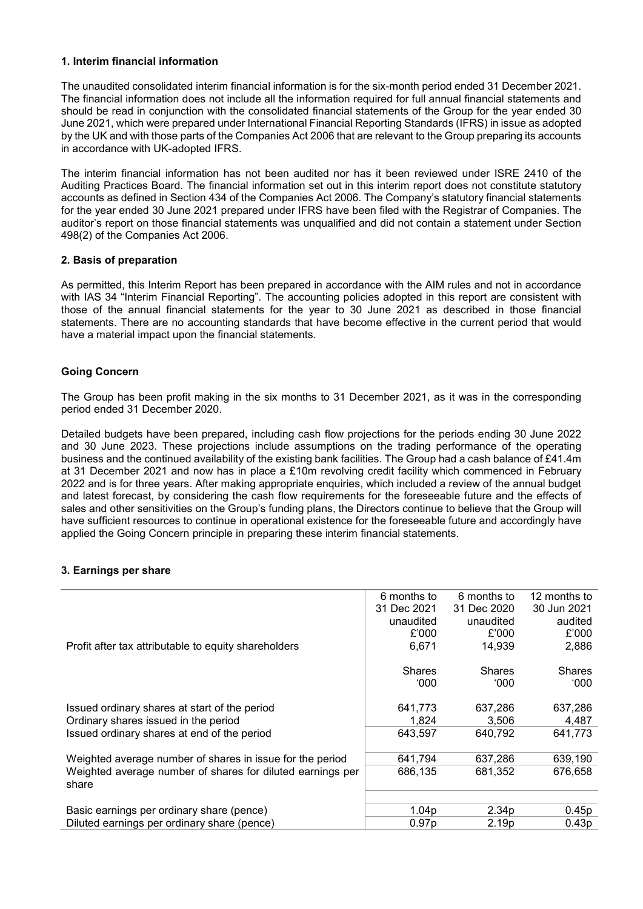# **1. Interim financial information**

The unaudited consolidated interim financial information is for the six-month period ended 31 December 2021. The financial information does not include all the information required for full annual financial statements and should be read in conjunction with the consolidated financial statements of the Group for the year ended 30 June 2021, which were prepared under International Financial Reporting Standards (IFRS) in issue as adopted by the UK and with those parts of the Companies Act 2006 that are relevant to the Group preparing its accounts in accordance with UK-adopted IFRS.

The interim financial information has not been audited nor has it been reviewed under ISRE 2410 of the Auditing Practices Board. The financial information set out in this interim report does not constitute statutory accounts as defined in Section 434 of the Companies Act 2006. The Company's statutory financial statements for the year ended 30 June 2021 prepared under IFRS have been filed with the Registrar of Companies. The auditor's report on those financial statements was unqualified and did not contain a statement under Section 498(2) of the Companies Act 2006.

# **2. Basis of preparation**

As permitted, this Interim Report has been prepared in accordance with the AIM rules and not in accordance with IAS 34 "Interim Financial Reporting". The accounting policies adopted in this report are consistent with those of the annual financial statements for the year to 30 June 2021 as described in those financial statements. There are no accounting standards that have become effective in the current period that would have a material impact upon the financial statements.

# **Going Concern**

The Group has been profit making in the six months to 31 December 2021, as it was in the corresponding period ended 31 December 2020.

Detailed budgets have been prepared, including cash flow projections for the periods ending 30 June 2022 and 30 June 2023. These projections include assumptions on the trading performance of the operating business and the continued availability of the existing bank facilities. The Group had a cash balance of £41.4m at 31 December 2021 and now has in place a £10m revolving credit facility which commenced in February 2022 and is for three years. After making appropriate enquiries, which included a review of the annual budget and latest forecast, by considering the cash flow requirements for the foreseeable future and the effects of sales and other sensitivities on the Group's funding plans, the Directors continue to believe that the Group will have sufficient resources to continue in operational existence for the foreseeable future and accordingly have applied the Going Concern principle in preparing these interim financial statements.

# **3. Earnings per share**

|                                                            | 6 months to       | 6 months to       | 12 months to  |
|------------------------------------------------------------|-------------------|-------------------|---------------|
|                                                            | 31 Dec 2021       | 31 Dec 2020       | 30 Jun 2021   |
|                                                            | unaudited         | unaudited         | audited       |
|                                                            | £'000             | £'000             | £'000         |
| Profit after tax attributable to equity shareholders       | 6,671             | 14,939            | 2,886         |
|                                                            |                   |                   |               |
|                                                            | <b>Shares</b>     | <b>Shares</b>     | <b>Shares</b> |
|                                                            | 000°              | '000              | 000°          |
|                                                            |                   |                   |               |
| Issued ordinary shares at start of the period              | 641,773           | 637,286           | 637,286       |
| Ordinary shares issued in the period                       | 1,824             | 3.506             | 4,487         |
| Issued ordinary shares at end of the period                | 643.597           | 640,792           | 641,773       |
|                                                            |                   |                   |               |
| Weighted average number of shares in issue for the period  | 641,794           | 637,286           | 639,190       |
| Weighted average number of shares for diluted earnings per | 686,135           | 681,352           | 676,658       |
| share                                                      |                   |                   |               |
|                                                            |                   |                   |               |
| Basic earnings per ordinary share (pence)                  | 1.04 <sub>p</sub> | 2.34 <sub>p</sub> | 0.45p         |
| Diluted earnings per ordinary share (pence)                | 0.97p             | 2.19p             | 0.43p         |